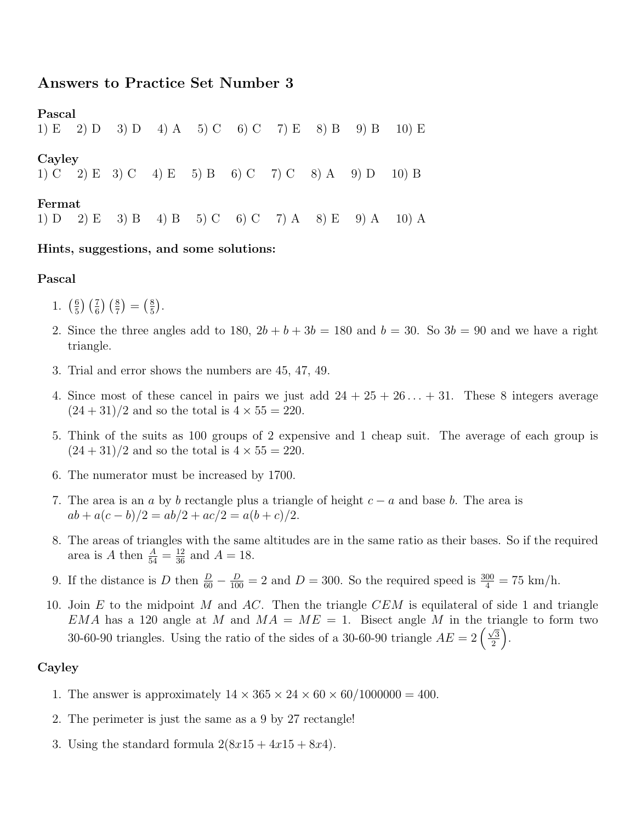# Answers to Practice Set Number 3

Pascal 1) E 2) D 3) D 4) A 5) C 6) C 7) E 8) B 9) B 10) E Cayley 1) C 2) E 3) C 4) E 5) B 6) C 7) C 8) A 9) D 10) B

## Fermat

1) D 2) E 3) B 4) B 5) C 6) C 7) A 8) E 9) A 10) A

#### Hints, suggestions, and some solutions:

## Pascal

- 1.  $\left(\frac{6}{5}\right)$  $(\frac{6}{5})\left(\frac{7}{6}\right)\left(\frac{8}{7}\right) = (\frac{8}{5})$  $\frac{8}{5}$ .
- 2. Since the three angles add to 180,  $2b + b + 3b = 180$  and  $b = 30$ . So  $3b = 90$  and we have a right triangle.
- 3. Trial and error shows the numbers are 45, 47, 49.
- 4. Since most of these cancel in pairs we just add  $24 + 25 + 26... + 31$ . These 8 integers average  $(24 + 31)/2$  and so the total is  $4 \times 55 = 220$ .
- 5. Think of the suits as 100 groups of 2 expensive and 1 cheap suit. The average of each group is  $(24 + 31)/2$  and so the total is  $4 \times 55 = 220$ .
- 6. The numerator must be increased by 1700.
- 7. The area is an a by b rectangle plus a triangle of height  $c a$  and base b. The area is  $ab + a(c - b)/2 = ab/2 + ac/2 = a(b + c)/2.$
- 8. The areas of triangles with the same altitudes are in the same ratio as their bases. So if the required area is A then  $\frac{A}{54} = \frac{12}{36}$  and  $A = 18$ .
- 9. If the distance is D then  $\frac{D}{60} \frac{D}{100} = 2$  and  $D = 300$ . So the required speed is  $\frac{300}{4} = 75$  km/h.
- 10. Join E to the midpoint M and AC. Then the triangle CEM is equilateral of side 1 and triangle EMA has a 120 angle at M and  $MA = ME = 1$ . Bisect angle M in the triangle to form two 30-60-90 triangles. Using the ratio of the sides of a 30-60-90 triangle  $AE = 2\left(\frac{\sqrt{3}}{2}\right)$  $\sqrt{3/2}$ .

# Cayley

- 1. The answer is approximately  $14 \times 365 \times 24 \times 60 \times 60/1000000 = 400$ .
- 2. The perimeter is just the same as a 9 by 27 rectangle!
- 3. Using the standard formula  $2(8x15 + 4x15 + 8x4)$ .